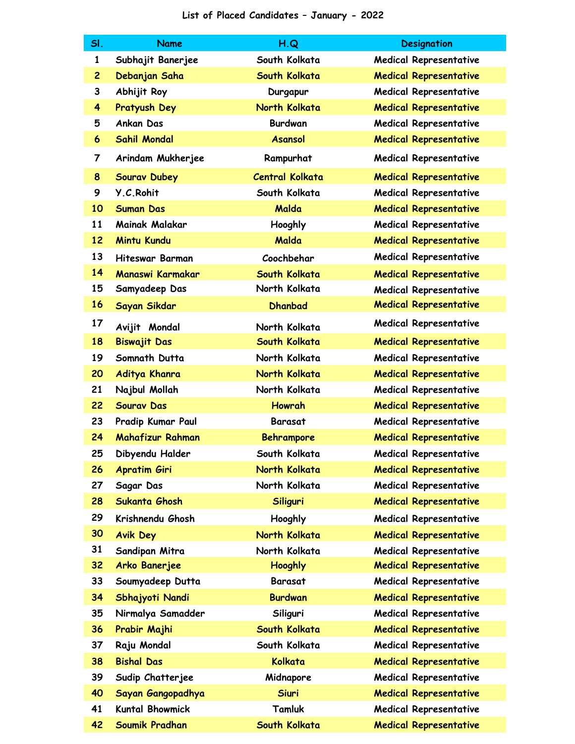| SI.            | <b>Name</b>            | H.Q                    | <b>Designation</b>            |
|----------------|------------------------|------------------------|-------------------------------|
| $\mathbf{1}$   | Subhajit Banerjee      | South Kolkata          | <b>Medical Representative</b> |
| $\overline{c}$ | Debanjan Saha          | South Kolkata          | <b>Medical Representative</b> |
| 3              | Abhijit Roy            | Durgapur               | <b>Medical Representative</b> |
| 4              | Pratyush Dey           | North Kolkata          | <b>Medical Representative</b> |
| 5              | <b>Ankan Das</b>       | <b>Burdwan</b>         | <b>Medical Representative</b> |
| 6              | <b>Sahil Mondal</b>    | <b>Asansol</b>         | <b>Medical Representative</b> |
| 7              | Arindam Mukherjee      | Rampurhat              | <b>Medical Representative</b> |
| 8              | <b>Sourav Dubey</b>    | <b>Central Kolkata</b> | <b>Medical Representative</b> |
| 9              | Y.C.Rohit              | South Kolkata          | <b>Medical Representative</b> |
| 10             | <b>Suman Das</b>       | Malda                  | <b>Medical Representative</b> |
| 11             | Mainak Malakar         | Hooghly                | <b>Medical Representative</b> |
| 12             | <b>Mintu Kundu</b>     | Malda                  | <b>Medical Representative</b> |
| 13             | <b>Hiteswar Barman</b> | Coochbehar             | <b>Medical Representative</b> |
| 14             | Manaswi Karmakar       | South Kolkata          | <b>Medical Representative</b> |
| 15             | Samyadeep Das          | North Kolkata          | <b>Medical Representative</b> |
| 16             | Sayan Sikdar           | <b>Dhanbad</b>         | <b>Medical Representative</b> |
| 17             | Avijit Mondal          | North Kolkata          | <b>Medical Representative</b> |
| 18             | <b>Biswajit Das</b>    | South Kolkata          | <b>Medical Representative</b> |
| 19             | Somnath Dutta          | North Kolkata          | <b>Medical Representative</b> |
| 20             | Aditya Khanra          | North Kolkata          | <b>Medical Representative</b> |
| 21             | Najbul Mollah          | North Kolkata          | <b>Medical Representative</b> |
| 22             | <b>Sourav Das</b>      | <b>Howrah</b>          | <b>Medical Representative</b> |
| 23             | Pradip Kumar Paul      | <b>Barasat</b>         | <b>Medical Representative</b> |
| 24             | Mahafizur Rahman       | <b>Behrampore</b>      | <b>Medical Representative</b> |
| 25             | Dibyendu Halder        | South Kolkata          | <b>Medical Representative</b> |
| 26             | <b>Apratim Giri</b>    | North Kolkata          | <b>Medical Representative</b> |
| 27             | Sagar Das              | North Kolkata          | <b>Medical Representative</b> |
| 28             | Sukanta Ghosh          | Siliguri               | <b>Medical Representative</b> |
| 29             | Krishnendu Ghosh       | Hooghly                | <b>Medical Representative</b> |
| 30             | <b>Avik Dey</b>        | North Kolkata          | <b>Medical Representative</b> |
| 31             | Sandipan Mitra         | North Kolkata          | <b>Medical Representative</b> |
| 32             | Arko Banerjee          | <b>Hooghly</b>         | <b>Medical Representative</b> |
| 33             | Soumyadeep Dutta       | Barasat                | <b>Medical Representative</b> |
| 34             | Sbhajyoti Nandi        | <b>Burdwan</b>         | <b>Medical Representative</b> |
| 35             | Nirmalya Samadder      | Siliguri               | <b>Medical Representative</b> |
| 36             | Prabir Majhi           | South Kolkata          | <b>Medical Representative</b> |
| 37             | Raju Mondal            | South Kolkata          | <b>Medical Representative</b> |
| 38             | <b>Bishal Das</b>      | Kolkata                | <b>Medical Representative</b> |
| 39             | Sudip Chatterjee       | Midnapore              | <b>Medical Representative</b> |
| 40             | Sayan Gangopadhya      | <b>Siuri</b>           | <b>Medical Representative</b> |
| 41             | <b>Kuntal Bhowmick</b> | Tamluk                 | <b>Medical Representative</b> |
| 42             | Soumik Pradhan         | South Kolkata          | <b>Medical Representative</b> |